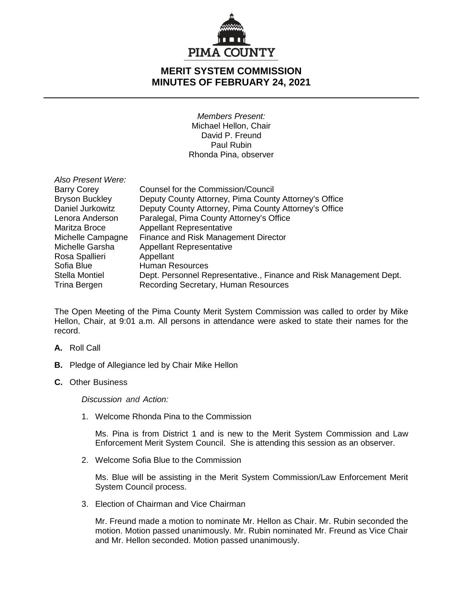

## **MERIT SYSTEM COMMISSION MINUTES OF FEBRUARY 24, 2021**

*Members Present:* Michael Hellon, Chair David P. Freund Paul Rubin Rhonda Pina, observer

| Also Present Were:    |                                                                    |
|-----------------------|--------------------------------------------------------------------|
| <b>Barry Corey</b>    | Counsel for the Commission/Council                                 |
| <b>Bryson Buckley</b> | Deputy County Attorney, Pima County Attorney's Office              |
| Daniel Jurkowitz      | Deputy County Attorney, Pima County Attorney's Office              |
| Lenora Anderson       | Paralegal, Pima County Attorney's Office                           |
| Maritza Broce         | <b>Appellant Representative</b>                                    |
| Michelle Campagne     | Finance and Risk Management Director                               |
| Michelle Garsha       | <b>Appellant Representative</b>                                    |
| Rosa Spallieri        | Appellant                                                          |
| Sofia Blue            | <b>Human Resources</b>                                             |
| <b>Stella Montiel</b> | Dept. Personnel Representative., Finance and Risk Management Dept. |
| Trina Bergen          | Recording Secretary, Human Resources                               |

The Open Meeting of the Pima County Merit System Commission was called to order by Mike Hellon, Chair, at 9:01 a.m. All persons in attendance were asked to state their names for the record.

- **A.** Roll Call
- **B.** Pledge of Allegiance led by Chair Mike Hellon
- **C.** Other Business

*Discussion and Action:*

1. Welcome Rhonda Pina to the Commission

Ms. Pina is from District 1 and is new to the Merit System Commission and Law Enforcement Merit System Council. She is attending this session as an observer.

2. Welcome Sofia Blue to the Commission

Ms. Blue will be assisting in the Merit System Commission/Law Enforcement Merit System Council process.

3. Election of Chairman and Vice Chairman

Mr. Freund made a motion to nominate Mr. Hellon as Chair. Mr. Rubin seconded the motion. Motion passed unanimously. Mr. Rubin nominated Mr. Freund as Vice Chair and Mr. Hellon seconded. Motion passed unanimously.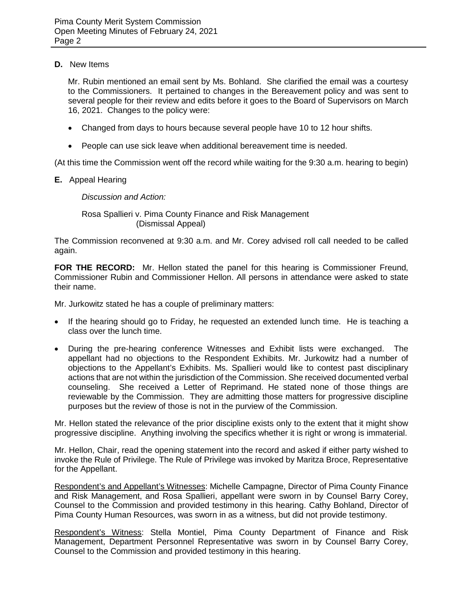## **D.** New Items

Mr. Rubin mentioned an email sent by Ms. Bohland. She clarified the email was a courtesy to the Commissioners. It pertained to changes in the Bereavement policy and was sent to several people for their review and edits before it goes to the Board of Supervisors on March 16, 2021. Changes to the policy were:

- Changed from days to hours because several people have 10 to 12 hour shifts.
- People can use sick leave when additional bereavement time is needed.

(At this time the Commission went off the record while waiting for the 9:30 a.m. hearing to begin)

**E.** Appeal Hearing

*Discussion and Action:*

Rosa Spallieri v. Pima County Finance and Risk Management (Dismissal Appeal)

The Commission reconvened at 9:30 a.m. and Mr. Corey advised roll call needed to be called again.

**FOR THE RECORD:** Mr. Hellon stated the panel for this hearing is Commissioner Freund, Commissioner Rubin and Commissioner Hellon. All persons in attendance were asked to state their name.

Mr. Jurkowitz stated he has a couple of preliminary matters:

- If the hearing should go to Friday, he requested an extended lunch time. He is teaching a class over the lunch time.
- During the pre-hearing conference Witnesses and Exhibit lists were exchanged. The appellant had no objections to the Respondent Exhibits. Mr. Jurkowitz had a number of objections to the Appellant's Exhibits. Ms. Spallieri would like to contest past disciplinary actions that are not within the jurisdiction of the Commission. She received documented verbal counseling. She received a Letter of Reprimand. He stated none of those things are reviewable by the Commission. They are admitting those matters for progressive discipline purposes but the review of those is not in the purview of the Commission.

Mr. Hellon stated the relevance of the prior discipline exists only to the extent that it might show progressive discipline. Anything involving the specifics whether it is right or wrong is immaterial.

Mr. Hellon, Chair, read the opening statement into the record and asked if either party wished to invoke the Rule of Privilege. The Rule of Privilege was invoked by Maritza Broce, Representative for the Appellant.

Respondent's and Appellant's Witnesses: Michelle Campagne, Director of Pima County Finance and Risk Management, and Rosa Spallieri, appellant were sworn in by Counsel Barry Corey, Counsel to the Commission and provided testimony in this hearing. Cathy Bohland, Director of Pima County Human Resources, was sworn in as a witness, but did not provide testimony.

Respondent's Witness: Stella Montiel, Pima County Department of Finance and Risk Management, Department Personnel Representative was sworn in by Counsel Barry Corey, Counsel to the Commission and provided testimony in this hearing.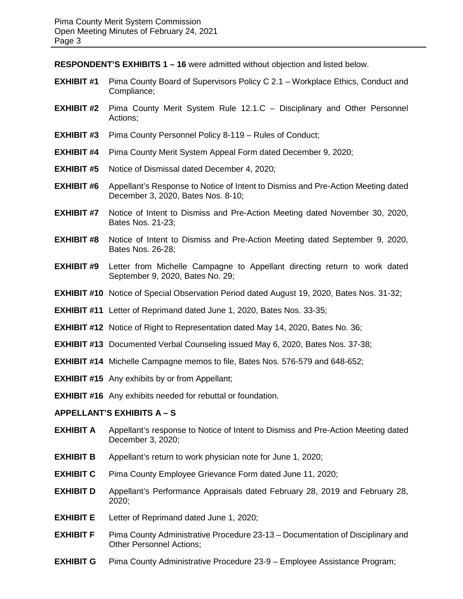**RESPONDENT'S EXHIBITS 1 – 16** were admitted without objection and listed below.

- **EXHIBIT #1** Pima County Board of Supervisors Policy C 2.1 Workplace Ethics, Conduct and Compliance;
- **EXHIBIT #2** Pima County Merit System Rule 12.1.C Disciplinary and Other Personnel Actions;
- **EXHIBIT #3** Pima County Personnel Policy 8-119 Rules of Conduct;
- **EXHIBIT #4** Pima County Merit System Appeal Form dated December 9, 2020;
- **EXHIBIT #5** Notice of Dismissal dated December 4, 2020;
- **EXHIBIT #6** Appellant's Response to Notice of Intent to Dismiss and Pre-Action Meeting dated December 3, 2020, Bates Nos. 8-10;
- **EXHIBIT #7** Notice of Intent to Dismiss and Pre-Action Meeting dated November 30, 2020, Bates Nos. 21-23;
- **EXHIBIT #8** Notice of Intent to Dismiss and Pre-Action Meeting dated September 9, 2020, Bates Nos. 26-28;
- **EXHIBIT #9** Letter from Michelle Campagne to Appellant directing return to work dated September 9, 2020, Bates No. 29;
- **EXHIBIT #10** Notice of Special Observation Period dated August 19, 2020, Bates Nos. 31-32;
- **EXHIBIT #11** Letter of Reprimand dated June 1, 2020, Bates Nos. 33-35;
- **EXHIBIT #12** Notice of Right to Representation dated May 14, 2020, Bates No. 36;
- **EXHIBIT #13** Documented Verbal Counseling issued May 6, 2020, Bates Nos. 37-38;
- **EXHIBIT #14** Michelle Campagne memos to file, Bates Nos. 576-579 and 648-652;
- **EXHIBIT #15** Any exhibits by or from Appellant;
- **EXHIBIT #16** Any exhibits needed for rebuttal or foundation.

## **APPELLANT'S EXHIBITS A – S**

- **EXHIBIT A** Appellant's response to Notice of Intent to Dismiss and Pre-Action Meeting dated December 3, 2020;
- **EXHIBIT B** Appellant's return to work physician note for June 1, 2020;
- **EXHIBIT C** Pima County Employee Grievance Form dated June 11, 2020;
- **EXHIBIT D** Appellant's Performance Appraisals dated February 28, 2019 and February 28, 2020;
- **EXHIBIT E** Letter of Reprimand dated June 1, 2020;
- **EXHIBIT F** Pima County Administrative Procedure 23-13 Documentation of Disciplinary and Other Personnel Actions;
- **EXHIBIT G** Pima County Administrative Procedure 23-9 Employee Assistance Program;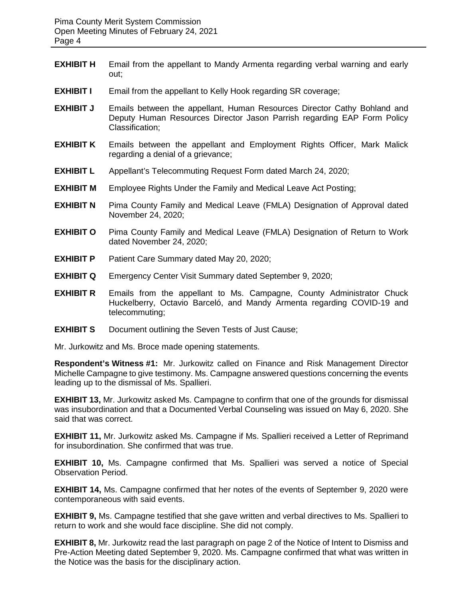- **EXHIBIT H** Email from the appellant to Mandy Armenta regarding verbal warning and early out;
- **EXHIBIT I** Email from the appellant to Kelly Hook regarding SR coverage;
- **EXHIBIT J** Emails between the appellant, Human Resources Director Cathy Bohland and Deputy Human Resources Director Jason Parrish regarding EAP Form Policy Classification;
- **EXHIBIT K** Emails between the appellant and Employment Rights Officer, Mark Malick regarding a denial of a grievance;
- **EXHIBIT L** Appellant's Telecommuting Request Form dated March 24, 2020;
- **EXHIBIT M** Employee Rights Under the Family and Medical Leave Act Posting;
- **EXHIBIT N** Pima County Family and Medical Leave (FMLA) Designation of Approval dated November 24, 2020;
- **EXHIBIT O** Pima County Family and Medical Leave (FMLA) Designation of Return to Work dated November 24, 2020;
- **EXHIBIT P** Patient Care Summary dated May 20, 2020;
- **EXHIBIT Q** Emergency Center Visit Summary dated September 9, 2020;
- **EXHIBIT R** Emails from the appellant to Ms. Campagne, County Administrator Chuck Huckelberry, Octavio Barceló, and Mandy Armenta regarding COVID-19 and telecommuting;
- **EXHIBIT S** Document outlining the Seven Tests of Just Cause:

Mr. Jurkowitz and Ms. Broce made opening statements.

**Respondent's Witness #1:** Mr. Jurkowitz called on Finance and Risk Management Director Michelle Campagne to give testimony. Ms. Campagne answered questions concerning the events leading up to the dismissal of Ms. Spallieri.

**EXHIBIT 13,** Mr. Jurkowitz asked Ms. Campagne to confirm that one of the grounds for dismissal was insubordination and that a Documented Verbal Counseling was issued on May 6, 2020. She said that was correct.

**EXHIBIT 11,** Mr. Jurkowitz asked Ms. Campagne if Ms. Spallieri received a Letter of Reprimand for insubordination. She confirmed that was true.

**EXHIBIT 10,** Ms. Campagne confirmed that Ms. Spallieri was served a notice of Special Observation Period.

**EXHIBIT 14,** Ms. Campagne confirmed that her notes of the events of September 9, 2020 were contemporaneous with said events.

**EXHIBIT 9,** Ms. Campagne testified that she gave written and verbal directives to Ms. Spallieri to return to work and she would face discipline. She did not comply.

**EXHIBIT 8,** Mr. Jurkowitz read the last paragraph on page 2 of the Notice of Intent to Dismiss and Pre-Action Meeting dated September 9, 2020. Ms. Campagne confirmed that what was written in the Notice was the basis for the disciplinary action.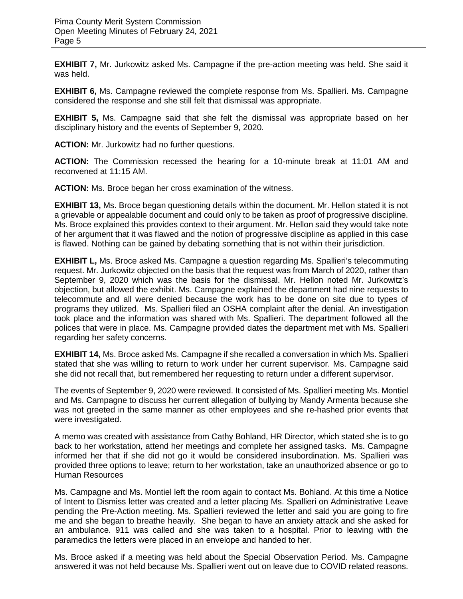**EXHIBIT 7,** Mr. Jurkowitz asked Ms. Campagne if the pre-action meeting was held. She said it was held.

**EXHIBIT 6,** Ms. Campagne reviewed the complete response from Ms. Spallieri. Ms. Campagne considered the response and she still felt that dismissal was appropriate.

**EXHIBIT 5,** Ms. Campagne said that she felt the dismissal was appropriate based on her disciplinary history and the events of September 9, 2020.

**ACTION:** Mr. Jurkowitz had no further questions.

**ACTION:** The Commission recessed the hearing for a 10-minute break at 11:01 AM and reconvened at 11:15 AM.

**ACTION:** Ms. Broce began her cross examination of the witness.

**EXHIBIT 13,** Ms. Broce began questioning details within the document. Mr. Hellon stated it is not a grievable or appealable document and could only to be taken as proof of progressive discipline. Ms. Broce explained this provides context to their argument. Mr. Hellon said they would take note of her argument that it was flawed and the notion of progressive discipline as applied in this case is flawed. Nothing can be gained by debating something that is not within their jurisdiction.

**EXHIBIT L,** Ms. Broce asked Ms. Campagne a question regarding Ms. Spallieri's telecommuting request. Mr. Jurkowitz objected on the basis that the request was from March of 2020, rather than September 9, 2020 which was the basis for the dismissal. Mr. Hellon noted Mr. Jurkowitz's objection, but allowed the exhibit. Ms. Campagne explained the department had nine requests to telecommute and all were denied because the work has to be done on site due to types of programs they utilized. Ms. Spallieri filed an OSHA complaint after the denial. An investigation took place and the information was shared with Ms. Spallieri. The department followed all the polices that were in place. Ms. Campagne provided dates the department met with Ms. Spallieri regarding her safety concerns.

**EXHIBIT 14,** Ms. Broce asked Ms. Campagne if she recalled a conversation in which Ms. Spallieri stated that she was willing to return to work under her current supervisor. Ms. Campagne said she did not recall that, but remembered her requesting to return under a different supervisor.

The events of September 9, 2020 were reviewed. It consisted of Ms. Spallieri meeting Ms. Montiel and Ms. Campagne to discuss her current allegation of bullying by Mandy Armenta because she was not greeted in the same manner as other employees and she re-hashed prior events that were investigated.

A memo was created with assistance from Cathy Bohland, HR Director, which stated she is to go back to her workstation, attend her meetings and complete her assigned tasks. Ms. Campagne informed her that if she did not go it would be considered insubordination. Ms. Spallieri was provided three options to leave; return to her workstation, take an unauthorized absence or go to Human Resources

Ms. Campagne and Ms. Montiel left the room again to contact Ms. Bohland. At this time a Notice of Intent to Dismiss letter was created and a letter placing Ms. Spallieri on Administrative Leave pending the Pre-Action meeting. Ms. Spallieri reviewed the letter and said you are going to fire me and she began to breathe heavily. She began to have an anxiety attack and she asked for an ambulance. 911 was called and she was taken to a hospital. Prior to leaving with the paramedics the letters were placed in an envelope and handed to her.

Ms. Broce asked if a meeting was held about the Special Observation Period. Ms. Campagne answered it was not held because Ms. Spallieri went out on leave due to COVID related reasons.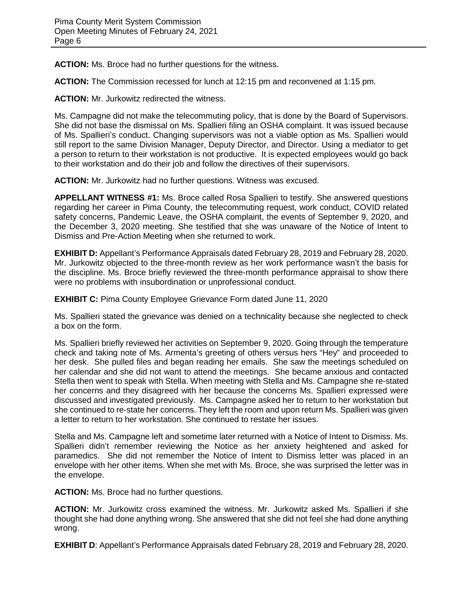**ACTION:** Ms. Broce had no further questions for the witness.

**ACTION:** The Commission recessed for lunch at 12:15 pm and reconvened at 1:15 pm.

**ACTION:** Mr. Jurkowitz redirected the witness.

Ms. Campagne did not make the telecommuting policy, that is done by the Board of Supervisors. She did not base the dismissal on Ms. Spallieri filing an OSHA complaint. It was issued because of Ms. Spallieri's conduct. Changing supervisors was not a viable option as Ms. Spallieri would still report to the same Division Manager, Deputy Director, and Director. Using a mediator to get a person to return to their workstation is not productive. It is expected employees would go back to their workstation and do their job and follow the directives of their supervisors.

**ACTION:** Mr. Jurkowitz had no further questions. Witness was excused.

**APPELLANT WITNESS #1:** Ms. Broce called Rosa Spallieri to testify. She answered questions regarding her career in Pima County, the telecommuting request, work conduct, COVID related safety concerns, Pandemic Leave, the OSHA complaint, the events of September 9, 2020, and the December 3, 2020 meeting. She testified that she was unaware of the Notice of Intent to Dismiss and Pre-Action Meeting when she returned to work.

**EXHIBIT D:** Appellant's Performance Appraisals dated February 28, 2019 and February 28, 2020. Mr. Jurkowitz objected to the three-month review as her work performance wasn't the basis for the discipline. Ms. Broce briefly reviewed the three-month performance appraisal to show there were no problems with insubordination or unprofessional conduct.

**EXHIBIT C:** Pima County Employee Grievance Form dated June 11, 2020

Ms. Spallieri stated the grievance was denied on a technicality because she neglected to check a box on the form.

Ms. Spallieri briefly reviewed her activities on September 9, 2020. Going through the temperature check and taking note of Ms. Armenta's greeting of others versus hers "Hey" and proceeded to her desk. She pulled files and began reading her emails. She saw the meetings scheduled on her calendar and she did not want to attend the meetings. She became anxious and contacted Stella then went to speak with Stella. When meeting with Stella and Ms. Campagne she re-stated her concerns and they disagreed with her because the concerns Ms. Spallieri expressed were discussed and investigated previously. Ms. Campagne asked her to return to her workstation but she continued to re-state her concerns. They left the room and upon return Ms. Spallieri was given a letter to return to her workstation. She continued to restate her issues.

Stella and Ms. Campagne left and sometime later returned with a Notice of Intent to Dismiss. Ms. Spallieri didn't remember reviewing the Notice as her anxiety heightened and asked for paramedics. She did not remember the Notice of Intent to Dismiss letter was placed in an envelope with her other items. When she met with Ms. Broce, she was surprised the letter was in the envelope.

**ACTION:** Ms. Broce had no further questions.

**ACTION:** Mr. Jurkowitz cross examined the witness. Mr. Jurkowitz asked Ms. Spallieri if she thought she had done anything wrong. She answered that she did not feel she had done anything wrong.

**EXHIBIT D**: Appellant's Performance Appraisals dated February 28, 2019 and February 28, 2020.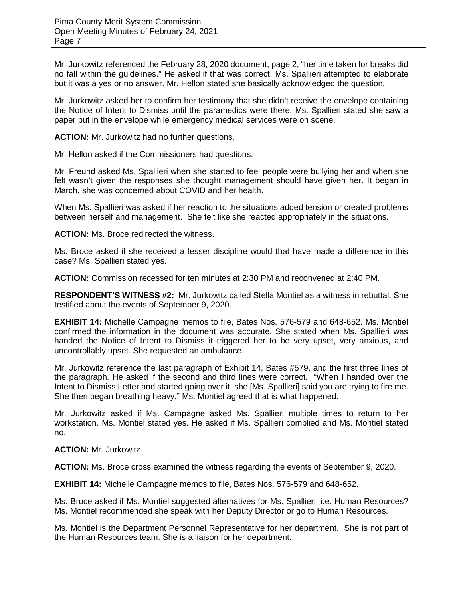Mr. Jurkowitz referenced the February 28, 2020 document, page 2, "her time taken for breaks did no fall within the guidelines." He asked if that was correct. Ms. Spallieri attempted to elaborate but it was a yes or no answer. Mr. Hellon stated she basically acknowledged the question.

Mr. Jurkowitz asked her to confirm her testimony that she didn't receive the envelope containing the Notice of Intent to Dismiss until the paramedics were there. Ms. Spallieri stated she saw a paper put in the envelope while emergency medical services were on scene.

**ACTION:** Mr. Jurkowitz had no further questions.

Mr. Hellon asked if the Commissioners had questions.

Mr. Freund asked Ms. Spallieri when she started to feel people were bullying her and when she felt wasn't given the responses she thought management should have given her. It began in March, she was concerned about COVID and her health.

When Ms. Spallieri was asked if her reaction to the situations added tension or created problems between herself and management. She felt like she reacted appropriately in the situations.

**ACTION:** Ms. Broce redirected the witness.

Ms. Broce asked if she received a lesser discipline would that have made a difference in this case? Ms. Spallieri stated yes.

**ACTION:** Commission recessed for ten minutes at 2:30 PM and reconvened at 2:40 PM.

**RESPONDENT'S WITNESS #2:** Mr. Jurkowitz called Stella Montiel as a witness in rebuttal. She testified about the events of September 9, 2020.

**EXHIBIT 14:** Michelle Campagne memos to file, Bates Nos. 576-579 and 648-652. Ms. Montiel confirmed the information in the document was accurate. She stated when Ms. Spallieri was handed the Notice of Intent to Dismiss it triggered her to be very upset, very anxious, and uncontrollably upset. She requested an ambulance.

Mr. Jurkowitz reference the last paragraph of Exhibit 14, Bates #579, and the first three lines of the paragraph. He asked if the second and third lines were correct. "When I handed over the Intent to Dismiss Letter and started going over it, she [Ms. Spallieri] said you are trying to fire me. She then began breathing heavy." Ms. Montiel agreed that is what happened.

Mr. Jurkowitz asked if Ms. Campagne asked Ms. Spallieri multiple times to return to her workstation. Ms. Montiel stated yes. He asked if Ms. Spallieri complied and Ms. Montiel stated no.

**ACTION:** Mr. Jurkowitz

**ACTION:** Ms. Broce cross examined the witness regarding the events of September 9, 2020.

**EXHIBIT 14:** Michelle Campagne memos to file, Bates Nos. 576-579 and 648-652.

Ms. Broce asked if Ms. Montiel suggested alternatives for Ms. Spallieri, i.e. Human Resources? Ms. Montiel recommended she speak with her Deputy Director or go to Human Resources.

Ms. Montiel is the Department Personnel Representative for her department. She is not part of the Human Resources team. She is a liaison for her department.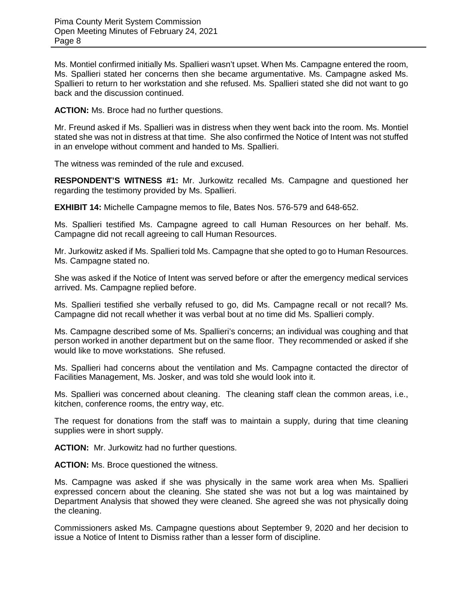Ms. Montiel confirmed initially Ms. Spallieri wasn't upset. When Ms. Campagne entered the room, Ms. Spallieri stated her concerns then she became argumentative. Ms. Campagne asked Ms. Spallieri to return to her workstation and she refused. Ms. Spallieri stated she did not want to go back and the discussion continued.

**ACTION:** Ms. Broce had no further questions.

Mr. Freund asked if Ms. Spallieri was in distress when they went back into the room. Ms. Montiel stated she was not in distress at that time. She also confirmed the Notice of Intent was not stuffed in an envelope without comment and handed to Ms. Spallieri.

The witness was reminded of the rule and excused.

**RESPONDENT'S WITNESS #1:** Mr. Jurkowitz recalled Ms. Campagne and questioned her regarding the testimony provided by Ms. Spallieri.

**EXHIBIT 14:** Michelle Campagne memos to file, Bates Nos. 576-579 and 648-652.

Ms. Spallieri testified Ms. Campagne agreed to call Human Resources on her behalf. Ms. Campagne did not recall agreeing to call Human Resources.

Mr. Jurkowitz asked if Ms. Spallieri told Ms. Campagne that she opted to go to Human Resources. Ms. Campagne stated no.

She was asked if the Notice of Intent was served before or after the emergency medical services arrived. Ms. Campagne replied before.

Ms. Spallieri testified she verbally refused to go, did Ms. Campagne recall or not recall? Ms. Campagne did not recall whether it was verbal bout at no time did Ms. Spallieri comply.

Ms. Campagne described some of Ms. Spallieri's concerns; an individual was coughing and that person worked in another department but on the same floor. They recommended or asked if she would like to move workstations. She refused.

Ms. Spallieri had concerns about the ventilation and Ms. Campagne contacted the director of Facilities Management, Ms. Josker, and was told she would look into it.

Ms. Spallieri was concerned about cleaning. The cleaning staff clean the common areas, i.e., kitchen, conference rooms, the entry way, etc.

The request for donations from the staff was to maintain a supply, during that time cleaning supplies were in short supply.

**ACTION:** Mr. Jurkowitz had no further questions.

**ACTION:** Ms. Broce questioned the witness.

Ms. Campagne was asked if she was physically in the same work area when Ms. Spallieri expressed concern about the cleaning. She stated she was not but a log was maintained by Department Analysis that showed they were cleaned. She agreed she was not physically doing the cleaning.

Commissioners asked Ms. Campagne questions about September 9, 2020 and her decision to issue a Notice of Intent to Dismiss rather than a lesser form of discipline.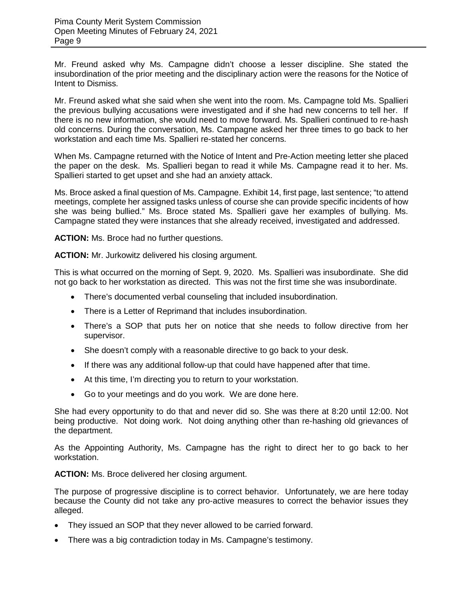Mr. Freund asked why Ms. Campagne didn't choose a lesser discipline. She stated the insubordination of the prior meeting and the disciplinary action were the reasons for the Notice of Intent to Dismiss.

Mr. Freund asked what she said when she went into the room. Ms. Campagne told Ms. Spallieri the previous bullying accusations were investigated and if she had new concerns to tell her. If there is no new information, she would need to move forward. Ms. Spallieri continued to re-hash old concerns. During the conversation, Ms. Campagne asked her three times to go back to her workstation and each time Ms. Spallieri re-stated her concerns.

When Ms. Campagne returned with the Notice of Intent and Pre-Action meeting letter she placed the paper on the desk. Ms. Spallieri began to read it while Ms. Campagne read it to her. Ms. Spallieri started to get upset and she had an anxiety attack.

Ms. Broce asked a final question of Ms. Campagne. Exhibit 14, first page, last sentence; "to attend meetings, complete her assigned tasks unless of course she can provide specific incidents of how she was being bullied." Ms. Broce stated Ms. Spallieri gave her examples of bullying. Ms. Campagne stated they were instances that she already received, investigated and addressed.

**ACTION:** Ms. Broce had no further questions.

**ACTION:** Mr. Jurkowitz delivered his closing argument.

This is what occurred on the morning of Sept. 9, 2020. Ms. Spallieri was insubordinate. She did not go back to her workstation as directed. This was not the first time she was insubordinate.

- There's documented verbal counseling that included insubordination.
- There is a Letter of Reprimand that includes insubordination.
- There's a SOP that puts her on notice that she needs to follow directive from her supervisor.
- She doesn't comply with a reasonable directive to go back to your desk.
- If there was any additional follow-up that could have happened after that time.
- At this time, I'm directing you to return to your workstation.
- Go to your meetings and do you work. We are done here.

She had every opportunity to do that and never did so. She was there at 8:20 until 12:00. Not being productive. Not doing work. Not doing anything other than re-hashing old grievances of the department.

As the Appointing Authority, Ms. Campagne has the right to direct her to go back to her workstation.

**ACTION:** Ms. Broce delivered her closing argument.

The purpose of progressive discipline is to correct behavior. Unfortunately, we are here today because the County did not take any pro-active measures to correct the behavior issues they alleged.

- They issued an SOP that they never allowed to be carried forward.
- There was a big contradiction today in Ms. Campagne's testimony.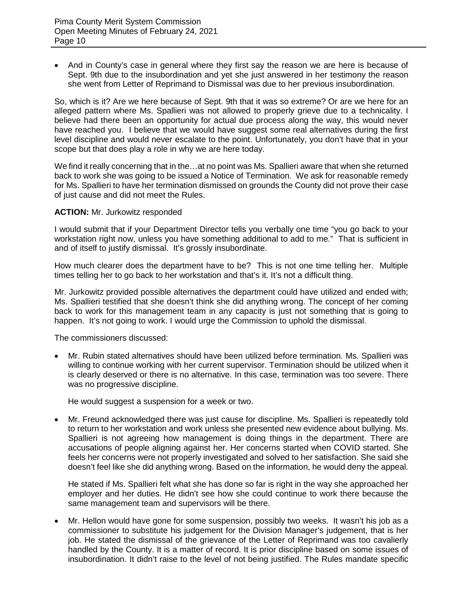• And in County's case in general where they first say the reason we are here is because of Sept. 9th due to the insubordination and yet she just answered in her testimony the reason she went from Letter of Reprimand to Dismissal was due to her previous insubordination.

So, which is it? Are we here because of Sept. 9th that it was so extreme? Or are we here for an alleged pattern where Ms. Spallieri was not allowed to properly grieve due to a technicality. I believe had there been an opportunity for actual due process along the way, this would never have reached you. I believe that we would have suggest some real alternatives during the first level discipline and would never escalate to the point. Unfortunately, you don't have that in your scope but that does play a role in why we are here today.

We find it really concerning that in the…at no point was Ms. Spallieri aware that when she returned back to work she was going to be issued a Notice of Termination. We ask for reasonable remedy for Ms. Spallieri to have her termination dismissed on grounds the County did not prove their case of just cause and did not meet the Rules.

## **ACTION:** Mr. Jurkowitz responded

I would submit that if your Department Director tells you verbally one time "you go back to your workstation right now, unless you have something additional to add to me." That is sufficient in and of itself to justify dismissal. It's grossly insubordinate.

How much clearer does the department have to be? This is not one time telling her. Multiple times telling her to go back to her workstation and that's it. It's not a difficult thing.

Mr. Jurkowitz provided possible alternatives the department could have utilized and ended with; Ms. Spallieri testified that she doesn't think she did anything wrong. The concept of her coming back to work for this management team in any capacity is just not something that is going to happen. It's not going to work. I would urge the Commission to uphold the dismissal.

The commissioners discussed:

• Mr. Rubin stated alternatives should have been utilized before termination. Ms. Spallieri was willing to continue working with her current supervisor. Termination should be utilized when it is clearly deserved or there is no alternative. In this case, termination was too severe. There was no progressive discipline.

He would suggest a suspension for a week or two.

• Mr. Freund acknowledged there was just cause for discipline. Ms. Spallieri is repeatedly told to return to her workstation and work unless she presented new evidence about bullying. Ms. Spallieri is not agreeing how management is doing things in the department. There are accusations of people aligning against her. Her concerns started when COVID started. She feels her concerns were not properly investigated and solved to her satisfaction. She said she doesn't feel like she did anything wrong. Based on the information, he would deny the appeal.

He stated if Ms. Spallieri felt what she has done so far is right in the way she approached her employer and her duties. He didn't see how she could continue to work there because the same management team and supervisors will be there.

• Mr. Hellon would have gone for some suspension, possibly two weeks. It wasn't his job as a commissioner to substitute his judgement for the Division Manager's judgement, that is her job. He stated the dismissal of the grievance of the Letter of Reprimand was too cavalierly handled by the County. It is a matter of record. It is prior discipline based on some issues of insubordination. It didn't raise to the level of not being justified. The Rules mandate specific